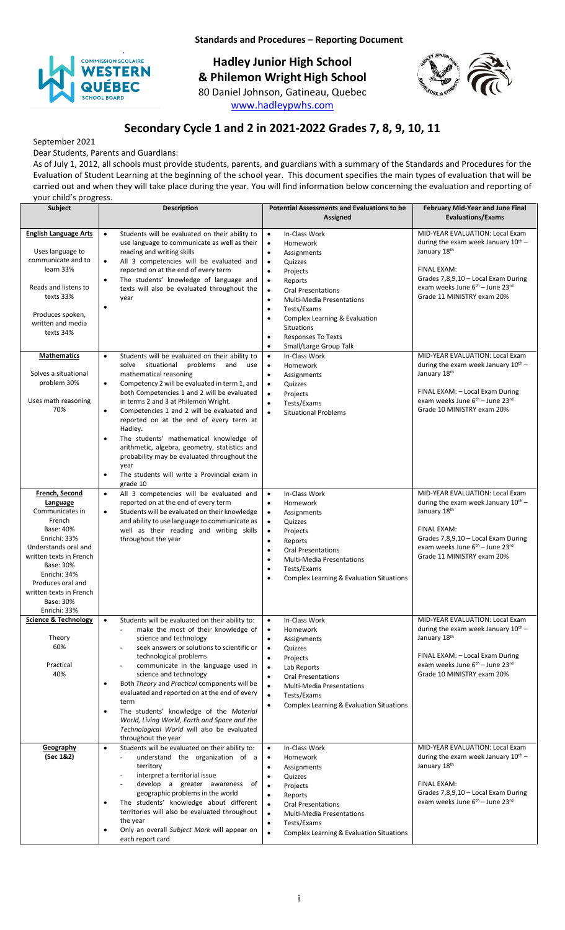

**Standards and Procedures – Reporting Document**

**Hadley Junior High School & Philemon Wright High School** 80 Daniel Johnson, Gatineau, Quebec [www.hadleypwhs.com](http://www.hadleypwhs.com/)



# **Secondary Cycle 1 and 2 in 2021-2022 Grades 7, 8, 9, 10, 11**

September 2021

Dear Students, Parents and Guardians: As of July 1, 2012, all schools must provide students, parents, and guardians with a summary of the Standards and Procedures for the Evaluation of Student Learning at the beginning of the school year. This document specifies the main types of evaluation that will be carried out and when they will take place during the year. You will find information below concerning the evaluation and reporting of

| your child's progress.                                                                                                                                                                                                                            |                                                                                                                                                                                                                                                                                                                                                                                                                                                                                                                                                                                                                                                  |                                                                                                                                                                                                                                                                                                                                                                                                                                     |                                                                                                                                                                                                                                                |  |
|---------------------------------------------------------------------------------------------------------------------------------------------------------------------------------------------------------------------------------------------------|--------------------------------------------------------------------------------------------------------------------------------------------------------------------------------------------------------------------------------------------------------------------------------------------------------------------------------------------------------------------------------------------------------------------------------------------------------------------------------------------------------------------------------------------------------------------------------------------------------------------------------------------------|-------------------------------------------------------------------------------------------------------------------------------------------------------------------------------------------------------------------------------------------------------------------------------------------------------------------------------------------------------------------------------------------------------------------------------------|------------------------------------------------------------------------------------------------------------------------------------------------------------------------------------------------------------------------------------------------|--|
| <b>Subject</b>                                                                                                                                                                                                                                    | <b>Description</b>                                                                                                                                                                                                                                                                                                                                                                                                                                                                                                                                                                                                                               | <b>Potential Assessments and Evaluations to be</b><br>Assigned                                                                                                                                                                                                                                                                                                                                                                      | February Mid-Year and June Final<br><b>Evaluations/Exams</b>                                                                                                                                                                                   |  |
| <b>English Language Arts</b><br>Uses language to<br>communicate and to<br>learn 33%<br>Reads and listens to<br>texts 33%<br>Produces spoken,<br>written and media<br>texts 34%                                                                    | Students will be evaluated on their ability to<br>$\bullet$<br>use language to communicate as well as their<br>reading and writing skills<br>All 3 competencies will be evaluated and<br>$\bullet$<br>reported on at the end of every term<br>The students' knowledge of language and<br>$\bullet$<br>texts will also be evaluated throughout the<br>year<br>$\bullet$                                                                                                                                                                                                                                                                           | In-Class Work<br>$\bullet$<br>$\bullet$<br>Homework<br>$\bullet$<br>Assignments<br>Quizzes<br>$\bullet$<br>$\bullet$<br>Projects<br>$\bullet$<br>Reports<br>$\bullet$<br><b>Oral Presentations</b><br><b>Multi-Media Presentations</b><br>$\bullet$<br>Tests/Exams<br>$\bullet$<br>Complex Learning & Evaluation<br>$\bullet$<br><b>Situations</b><br><b>Responses To Texts</b><br>$\bullet$<br>Small/Large Group Talk<br>$\bullet$ | MID-YEAR EVALUATION: Local Exam<br>during the exam week January $10^{th}$ –<br>January 18th<br>FINAL EXAM:<br>Grades 7,8,9,10 - Local Exam During<br>exam weeks June 6 <sup>th</sup> – June 23rd<br>Grade 11 MINISTRY exam 20%                 |  |
| <b>Mathematics</b><br>Solves a situational<br>problem 30%<br>Uses math reasoning<br>70%                                                                                                                                                           | Students will be evaluated on their ability to<br>$\bullet$<br>solve situational<br>problems and<br>use<br>mathematical reasoning<br>Competency 2 will be evaluated in term 1, and<br>$\bullet$<br>both Competencies 1 and 2 will be evaluated<br>in terms 2 and 3 at Philemon Wright.<br>Competencies 1 and 2 will be evaluated and<br>$\bullet$<br>reported on at the end of every term at<br>Hadley.<br>The students' mathematical knowledge of<br>$\bullet$<br>arithmetic, algebra, geometry, statistics and<br>probability may be evaluated throughout the<br>year<br>The students will write a Provincial exam in<br>$\bullet$<br>grade 10 | In-Class Work<br>$\bullet$<br>Homework<br>$\bullet$<br>$\bullet$<br>Assignments<br>$\bullet$<br>Quizzes<br>$\bullet$<br>Projects<br>$\bullet$<br>Tests/Exams<br>$\bullet$<br><b>Situational Problems</b>                                                                                                                                                                                                                            | MID-YEAR EVALUATION: Local Exam<br>during the exam week January $10^{th}$ -<br>January 18th<br>FINAL EXAM: - Local Exam During<br>exam weeks June 6 <sup>th</sup> - June 23rd<br>Grade 10 MINISTRY exam 20%<br>MID-YEAR EVALUATION: Local Exam |  |
| French, Second<br>Language<br>Communicates in<br>French<br>Base: 40%<br>Enrichi: 33%<br>Understands oral and<br>written texts in French<br>Base: 30%<br>Enrichi: 34%<br>Produces oral and<br>written texts in French<br>Base: 30%<br>Enrichi: 33% | All 3 competencies will be evaluated and<br>$\bullet$<br>reported on at the end of every term<br>Students will be evaluated on their knowledge<br>$\bullet$<br>and ability to use language to communicate as<br>well as their reading and writing skills<br>throughout the year                                                                                                                                                                                                                                                                                                                                                                  | $\bullet$<br>In-Class Work<br>Homework<br>$\bullet$<br>Assignments<br>$\bullet$<br>$\bullet$<br>Quizzes<br>$\bullet$<br>Projects<br>$\bullet$<br>Reports<br><b>Oral Presentations</b><br>$\bullet$<br>Multi-Media Presentations<br>$\bullet$<br>Tests/Exams<br>$\bullet$<br>Complex Learning & Evaluation Situations<br>$\bullet$                                                                                                   | during the exam week January $10^{th}$ -<br>January 18th<br>FINAL EXAM:<br>Grades 7,8,9,10 - Local Exam During<br>exam weeks June 6 <sup>th</sup> - June 23rd<br>Grade 11 MINISTRY exam 20%                                                    |  |
| <b>Science &amp; Technology</b><br>Theory<br>60%<br>Practical<br>40%                                                                                                                                                                              | Students will be evaluated on their ability to:<br>$\bullet$<br>make the most of their knowledge of<br>science and technology<br>seek answers or solutions to scientific or<br>technological problems<br>communicate in the language used in<br>science and technology<br>Both Theory and Practical components will be<br>$\bullet$<br>evaluated and reported on at the end of every<br>term<br>The students' knowledge of the Material<br>$\bullet$<br>World, Living World, Earth and Space and the<br>Technological World will also be evaluated<br>throughout the year                                                                        | In-Class Work<br>$\bullet$<br>$\bullet$<br>Homework<br>Assignments<br>$\bullet$<br>Quizzes<br>$\bullet$<br>Projects<br>$\bullet$<br>$\bullet$<br>Lab Reports<br><b>Oral Presentations</b><br>$\bullet$<br>$\bullet$<br><b>Multi-Media Presentations</b><br>$\bullet$<br>Tests/Exams<br><b>Complex Learning &amp; Evaluation Situations</b><br>$\bullet$                                                                             | MID-YEAR EVALUATION: Local Exam<br>during the exam week January 10 <sup>th</sup> -<br>January 18th<br>FINAL EXAM: - Local Exam During<br>exam weeks June 6th - June 23rd<br>Grade 10 MINISTRY exam 20%                                         |  |
| Geography<br>(Sec 1&2)                                                                                                                                                                                                                            | Students will be evaluated on their ability to:<br>$\bullet$<br>understand the organization of a<br>$\overline{\phantom{a}}$<br>territory<br>interpret a territorial issue<br>develop a greater awareness of<br>geographic problems in the world<br>The students' knowledge about different<br>$\bullet$<br>territories will also be evaluated throughout<br>the year<br>Only an overall Subject Mark will appear on<br>$\bullet$<br>each report card                                                                                                                                                                                            | In-Class Work<br>$\bullet$<br>Homework<br>$\bullet$<br>Assignments<br>$\bullet$<br>Quizzes<br>$\bullet$<br>$\bullet$<br>Projects<br>$\bullet$<br>Reports<br><b>Oral Presentations</b><br>$\bullet$<br>$\bullet$<br><b>Multi-Media Presentations</b><br>Tests/Exams<br>$\bullet$<br>$\bullet$<br>Complex Learning & Evaluation Situations                                                                                            | MID-YEAR EVALUATION: Local Exam<br>during the exam week January $10^{th}$ -<br>January 18th<br>FINAL EXAM:<br>Grades 7,8,9,10 - Local Exam During<br>exam weeks June 6th - June 23rd                                                           |  |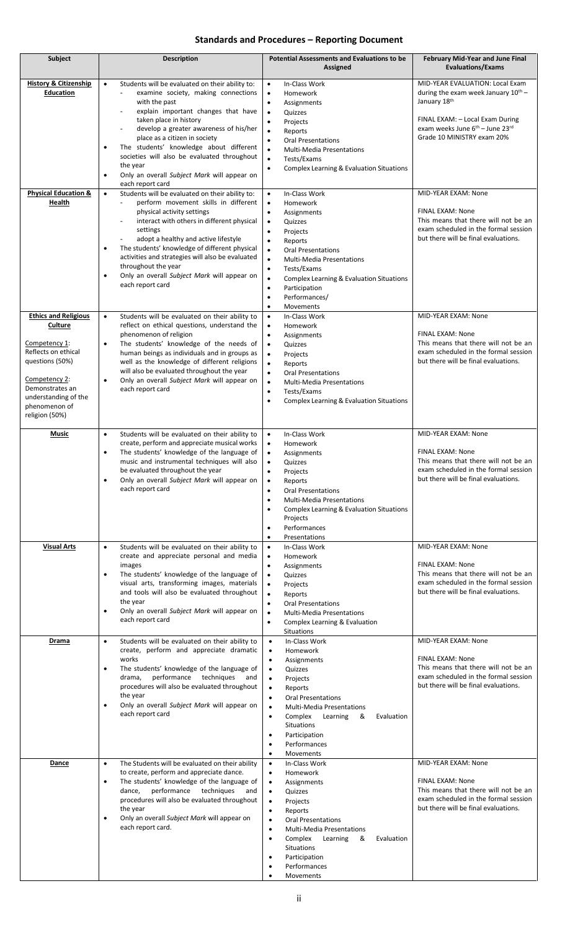## **Standards and Procedures – Reporting Document**

| Subject                                                                                                                                                                                          | <b>Description</b>                                                                                                                                                                                                                                                                                                                                                                                                                                                                | <b>Potential Assessments and Evaluations to be</b><br>Assigned                                                                                                                                                                                                                                                                                                                                                                 | February Mid-Year and June Final<br><b>Evaluations/Exams</b>                                                                                                                                                |
|--------------------------------------------------------------------------------------------------------------------------------------------------------------------------------------------------|-----------------------------------------------------------------------------------------------------------------------------------------------------------------------------------------------------------------------------------------------------------------------------------------------------------------------------------------------------------------------------------------------------------------------------------------------------------------------------------|--------------------------------------------------------------------------------------------------------------------------------------------------------------------------------------------------------------------------------------------------------------------------------------------------------------------------------------------------------------------------------------------------------------------------------|-------------------------------------------------------------------------------------------------------------------------------------------------------------------------------------------------------------|
| <b>History &amp; Citizenship</b><br><b>Education</b>                                                                                                                                             | Students will be evaluated on their ability to:<br>$\bullet$<br>examine society, making connections<br>with the past<br>explain important changes that have<br>taken place in history<br>develop a greater awareness of his/her<br>place as a citizen in society<br>The students' knowledge about different<br>$\bullet$<br>societies will also be evaluated throughout<br>the year<br>Only an overall Subject Mark will appear on<br>$\bullet$                                   | In-Class Work<br>$\bullet$<br>Homework<br>$\bullet$<br>$\bullet$<br>Assignments<br>Quizzes<br>$\bullet$<br>Projects<br>$\bullet$<br>$\bullet$<br>Reports<br>$\bullet$<br><b>Oral Presentations</b><br>$\bullet$<br><b>Multi-Media Presentations</b><br>$\bullet$<br>Tests/Exams<br>Complex Learning & Evaluation Situations<br>$\bullet$                                                                                       | MID-YEAR EVALUATION: Local Exam<br>during the exam week January $10^{th}$ -<br>January 18th<br>FINAL EXAM: - Local Exam During<br>exam weeks June 6 <sup>th</sup> - June 23rd<br>Grade 10 MINISTRY exam 20% |
| <b>Physical Education &amp;</b><br>Health                                                                                                                                                        | each report card<br>Students will be evaluated on their ability to:<br>$\bullet$<br>perform movement skills in different<br>physical activity settings<br>interact with others in different physical<br>settings<br>adopt a healthy and active lifestyle<br>The students' knowledge of different physical<br>$\bullet$<br>activities and strategies will also be evaluated<br>throughout the year<br>Only an overall Subject Mark will appear on<br>$\bullet$<br>each report card | $\bullet$<br>In-Class Work<br>Homework<br>$\bullet$<br>$\bullet$<br>Assignments<br>$\bullet$<br>Quizzes<br>$\bullet$<br>Projects<br>$\bullet$<br>Reports<br><b>Oral Presentations</b><br>$\bullet$<br>$\bullet$<br><b>Multi-Media Presentations</b><br>$\bullet$<br>Tests/Exams<br>$\bullet$<br>Complex Learning & Evaluation Situations<br>Participation<br>$\bullet$<br>Performances/<br>$\bullet$<br>Movements<br>$\bullet$ | MID-YEAR EXAM: None<br>FINAL EXAM: None<br>This means that there will not be an<br>exam scheduled in the formal session<br>but there will be final evaluations.                                             |
| <b>Ethics and Religious</b><br>Culture<br>Competency 1:<br>Reflects on ethical<br>questions (50%)<br>Competency 2:<br>Demonstrates an<br>understanding of the<br>phenomenon of<br>religion (50%) | Students will be evaluated on their ability to<br>$\bullet$<br>reflect on ethical questions, understand the<br>phenomenon of religion<br>The students' knowledge of the needs of<br>$\bullet$<br>human beings as individuals and in groups as<br>well as the knowledge of different religions<br>will also be evaluated throughout the year<br>Only an overall Subject Mark will appear on<br>$\bullet$<br>each report card                                                       | In-Class Work<br>$\bullet$<br>Homework<br>$\bullet$<br>$\bullet$<br>Assignments<br>Quizzes<br>$\bullet$<br>$\bullet$<br>Projects<br>Reports<br>$\bullet$<br>$\bullet$<br><b>Oral Presentations</b><br><b>Multi-Media Presentations</b><br>$\bullet$<br>Tests/Exams<br>$\bullet$<br>Complex Learning & Evaluation Situations<br>$\bullet$                                                                                       | MID-YEAR EXAM: None<br>FINAL EXAM: None<br>This means that there will not be an<br>exam scheduled in the formal session<br>but there will be final evaluations.                                             |
| <b>Music</b>                                                                                                                                                                                     | Students will be evaluated on their ability to<br>$\bullet$<br>create, perform and appreciate musical works<br>The students' knowledge of the language of<br>$\bullet$<br>music and instrumental techniques will also<br>be evaluated throughout the year<br>Only an overall Subject Mark will appear on<br>$\bullet$<br>each report card                                                                                                                                         | In-Class Work<br>$\bullet$<br>Homework<br>$\bullet$<br>Assignments<br>$\bullet$<br>Quizzes<br>$\bullet$<br>Projects<br>$\bullet$<br>Reports<br>$\bullet$<br><b>Oral Presentations</b><br>$\bullet$<br><b>Multi-Media Presentations</b><br>$\bullet$<br>Complex Learning & Evaluation Situations<br>$\bullet$<br>Projects<br>Performances<br>$\bullet$<br>Presentations<br>$\bullet$                                            | MID-YEAR EXAM: None<br>FINAL EXAM: None<br>This means that there will not be an<br>exam scheduled in the formal session<br>but there will be final evaluations.                                             |
| <b>Visual Arts</b>                                                                                                                                                                               | Students will be evaluated on their ability to<br>$\bullet$<br>create and appreciate personal and media<br>images<br>The students' knowledge of the language of<br>$\bullet$<br>visual arts, transforming images, materials<br>and tools will also be evaluated throughout<br>the year<br>Only an overall Subject Mark will appear on<br>$\bullet$<br>each report card                                                                                                            | In-Class Work<br>$\bullet$<br>$\bullet$<br>Homework<br>Assignments<br>$\bullet$<br>Quizzes<br>$\bullet$<br>$\bullet$<br>Projects<br>$\bullet$<br>Reports<br><b>Oral Presentations</b><br>$\bullet$<br>$\bullet$<br><b>Multi-Media Presentations</b><br>Complex Learning & Evaluation<br>$\bullet$<br>Situations                                                                                                                | MID-YEAR EXAM: None<br>FINAL EXAM: None<br>This means that there will not be an<br>exam scheduled in the formal session<br>but there will be final evaluations.                                             |
| Drama                                                                                                                                                                                            | Students will be evaluated on their ability to<br>$\bullet$<br>create, perform and appreciate dramatic<br>works<br>The students' knowledge of the language of<br>$\bullet$<br>performance techniques<br>drama,<br>and<br>procedures will also be evaluated throughout<br>the year<br>Only an overall Subject Mark will appear on<br>$\bullet$<br>each report card                                                                                                                 | In-Class Work<br>$\bullet$<br>$\bullet$<br>Homework<br>Assignments<br>$\bullet$<br>Quizzes<br>$\bullet$<br>Projects<br>$\bullet$<br>Reports<br>$\bullet$<br><b>Oral Presentations</b><br>$\bullet$<br><b>Multi-Media Presentations</b><br>$\bullet$<br>Complex<br>Learning<br>&<br>Evaluation<br>$\bullet$<br>Situations<br>Participation<br>$\bullet$<br>Performances<br>$\bullet$<br>Movements<br>$\bullet$                  | MID-YEAR EXAM: None<br>FINAL EXAM: None<br>This means that there will not be an<br>exam scheduled in the formal session<br>but there will be final evaluations.                                             |
| Dance                                                                                                                                                                                            | The Students will be evaluated on their ability<br>$\bullet$<br>to create, perform and appreciate dance.<br>The students' knowledge of the language of<br>$\bullet$<br>dance, performance techniques<br>and<br>procedures will also be evaluated throughout<br>the year<br>Only an overall Subject Mark will appear on<br>$\bullet$<br>each report card.                                                                                                                          | In-Class Work<br>$\bullet$<br>Homework<br>$\bullet$<br>Assignments<br>$\bullet$<br>Quizzes<br>$\bullet$<br>Projects<br>$\bullet$<br>Reports<br>$\bullet$<br><b>Oral Presentations</b><br>$\bullet$<br><b>Multi-Media Presentations</b><br>٠<br>Complex<br>$\bullet$<br>Learning<br>&<br>Evaluation<br>Situations<br>Participation<br>٠<br>Performances<br>Movements                                                            | MID-YEAR EXAM: None<br>FINAL EXAM: None<br>This means that there will not be an<br>exam scheduled in the formal session<br>but there will be final evaluations.                                             |